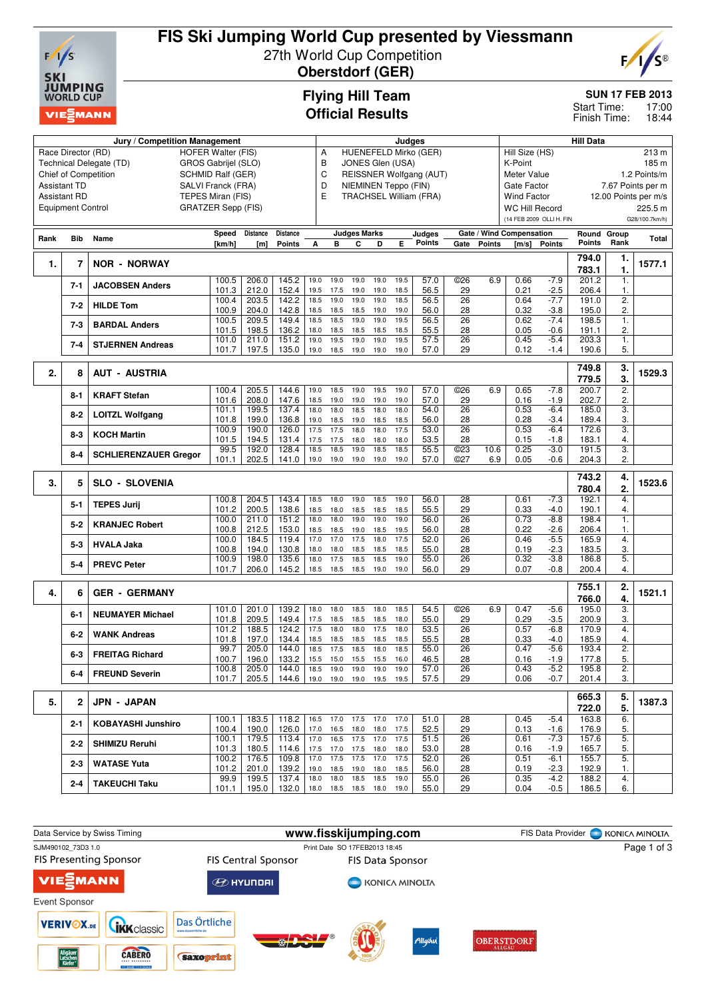

# **FIS Ski Jumping World Cup presented by Viessmann** 27th World Cup Competition

**Oberstdorf (GER)**



**SUN 17 FEB 2013**

17:00 18:44 Start Time: Finish Time:

# **Flying Hill Team Official Results**

| Jury / Competition Management                              |                                                 |                              |                |                |                           |              | Judges<br>Α                           |                          |              |              |                               |                 |               |                          | <b>Hill Data</b>         |                      |                  |                |  |  |  |
|------------------------------------------------------------|-------------------------------------------------|------------------------------|----------------|----------------|---------------------------|--------------|---------------------------------------|--------------------------|--------------|--------------|-------------------------------|-----------------|---------------|--------------------------|--------------------------|----------------------|------------------|----------------|--|--|--|
|                                                            | Race Director (RD)<br><b>HOFER Walter (FIS)</b> |                              |                |                |                           |              |                                       |                          |              |              | HUENEFELD Mirko (GER)         |                 |               | Hill Size (HS)<br>213 m  |                          |                      |                  |                |  |  |  |
| GROS Gabrijel (SLO)<br>Technical Delegate (TD)             |                                                 |                              |                |                |                           |              | В<br>JONES Glen (USA)<br>K-Point<br>C |                          |              |              |                               |                 |               |                          |                          |                      | 185 m            |                |  |  |  |
| <b>Chief of Competition</b><br>SCHMID Ralf (GER)           |                                                 |                              |                |                |                           |              |                                       | REISSNER Wolfgang (AUT)  |              | Meter Value  | 1.2 Points/m                  |                 |               |                          |                          |                      |                  |                |  |  |  |
| D<br>Assistant TD<br>SALVI Franck (FRA)                    |                                                 |                              |                |                |                           |              |                                       | NIEMINEN Teppo (FIN)     |              |              |                               |                 |               | Gate Factor              |                          | 7.67 Points per m    |                  |                |  |  |  |
| TEPES Miran (FIS)<br>Assistant RD                          |                                                 |                              |                |                |                           |              |                                       |                          |              |              | <b>TRACHSEL William (FRA)</b> |                 |               | <b>Wind Factor</b>       |                          | 12.00 Points per m/s |                  |                |  |  |  |
| Ε<br><b>Equipment Control</b><br><b>GRATZER Sepp (FIS)</b> |                                                 |                              |                |                |                           |              |                                       |                          |              |              |                               |                 |               | <b>WC Hill Record</b>    |                          |                      |                  | 225.5 m        |  |  |  |
|                                                            |                                                 |                              |                |                |                           |              |                                       |                          |              |              |                               |                 |               |                          | (14 FEB 2009 OLLI H, FIN |                      |                  | G28/100.7km/h) |  |  |  |
|                                                            |                                                 |                              |                |                |                           |              |                                       |                          |              |              |                               |                 |               |                          |                          |                      |                  |                |  |  |  |
| Rank                                                       | Bib                                             | Name                         | Speed          | Distance       | Distance<br><b>Points</b> | A            | в                                     | <b>Judges Marks</b><br>c | D            | E.           | Judges<br>Points              | Gate            | <b>Points</b> | Gate / Wind Compensation | <b>Points</b>            | Round<br>Points      | Group<br>Rank    | Total          |  |  |  |
|                                                            |                                                 |                              | [km/h]         | [m]            |                           |              |                                       |                          |              |              |                               |                 |               | [m/s]                    |                          |                      |                  |                |  |  |  |
| 1.                                                         | 7                                               | <b>NOR - NORWAY</b>          |                |                |                           |              |                                       |                          |              |              |                               |                 |               |                          |                          | 794.0                | 1.               | 1577.1         |  |  |  |
|                                                            |                                                 |                              |                |                |                           |              |                                       |                          |              |              |                               |                 |               |                          |                          | 783.1                | 1.               |                |  |  |  |
|                                                            | $7 - 1$                                         | <b>JACOBSEN Anders</b>       | 100.5          | 206.0          | 145.2                     | 19.0         | 19.0                                  | 19.0                     | 19.0         | 19.5         | 57.0                          | ©26             | 6.9           | 0.66                     | $-7.9$                   | 201.2                | 1.               |                |  |  |  |
|                                                            |                                                 |                              | 101.3          | 212.0          | 152.4                     | 19.5         | 17.5                                  | 19.0                     | 19.0         | 18.5         | 56.5                          | 29              |               | 0.21                     | $-2.5$                   | 206.4                | 1.               |                |  |  |  |
|                                                            | $7-2$                                           | <b>HILDE Tom</b>             | 100.4          | 203.5          | 142.2                     | 18.5         | 19.0                                  | 19.0                     | 19.0         | 18.5         | 56.5                          | 26              |               | 0.64                     | $-7.7$                   | 191.0                | $\overline{2}$ . |                |  |  |  |
|                                                            |                                                 |                              | 100.9          | 204.0          | 142.8                     | 18.5         | 18.5                                  | 18.5                     | 19.0         | 19.0         | 56.0                          | 28              |               | 0.32                     | $-3.8$                   | 195.0                | 2.               |                |  |  |  |
|                                                            | $7-3$                                           | <b>BARDAL Anders</b>         | 100.5          | 209.5          | 149.4                     | 18.5         | 18.5                                  | 19.0                     | 19.0         | 19.5         | 56.5                          | 26              |               | 0.62                     | $-7.4$                   | 198.5                | 1.               |                |  |  |  |
|                                                            |                                                 |                              | 101.5<br>101.0 | 198.5<br>211.0 | 136.2<br>151.2            | 18.0<br>19.0 | 18.5<br>19.5                          | 18.5<br>19.0             | 18.5<br>19.0 | 18.5<br>19.5 | 55.5<br>57.5                  | 28<br>26        |               | 0.05<br>0.45             | $-0.6$<br>$-5.4$         | 191.1<br>203.3       | 2.<br>1.         |                |  |  |  |
|                                                            | $7 - 4$                                         | <b>STJERNEN Andreas</b>      | 101.7          | 197.5          | 135.0                     | 19.0         | 18.5                                  | 19.0                     | 19.0         | 19.0         | 57.0                          | 29              |               | 0.12                     | $-1.4$                   | 190.6                | 5.               |                |  |  |  |
|                                                            |                                                 |                              |                |                |                           |              |                                       |                          |              |              |                               |                 |               |                          |                          |                      |                  |                |  |  |  |
|                                                            |                                                 |                              |                |                |                           |              |                                       |                          |              |              |                               |                 |               |                          |                          | 749.8                | 3.               |                |  |  |  |
| 2.                                                         | 8                                               | <b>AUT - AUSTRIA</b>         |                |                |                           |              |                                       |                          |              |              |                               |                 |               |                          |                          | 779.5                | 3.               | 1529.3         |  |  |  |
|                                                            |                                                 |                              | 100.4          | 205.5          | 144.6                     | 19.0         | 18.5                                  | 19.0                     | 19.5         | 19.0         | 57.0                          | <b>©26</b>      | 6.9           | 0.65                     | $-7.8$                   | 200.7                | $\overline{2}$ . |                |  |  |  |
|                                                            | $8 - 1$                                         | <b>KRAFT Stefan</b>          | 101.6          | 208.0          | 147.6                     | 18.5         | 19.0                                  | 19.0                     | 19.0         | 19.0         | 57.0                          | 29              |               | 0.16                     | $-1.9$                   | 202.7                | 2.               |                |  |  |  |
|                                                            | $8 - 2$                                         |                              | 101.1          | 199.5          | 137.4                     | 18.0         | 18.0                                  | 18.5                     | 18.0         | 18.0         | 54.0                          | 26              |               | 0.53                     | $-6.4$                   | 185.0                | 3.               |                |  |  |  |
|                                                            |                                                 | <b>LOITZL Wolfgang</b>       | 101.8          | 199.0          | 136.8                     | 19.0         | 18.5                                  | 19.0                     | 18.5         | 18.5         | 56.0                          | 28              |               | 0.28                     | $-3.4$                   | 189.4                | 3.               |                |  |  |  |
|                                                            | $8-3$                                           | <b>KOCH Martin</b>           | 100.9          | 190.0          | 126.0                     | 17.5         | 17.5                                  | 18.0                     | 18.0         | 17.5         | 53.0                          | 26              |               | 0.53                     | $-6.4$                   | 172.6                | 3.               |                |  |  |  |
|                                                            |                                                 |                              | 101.5          | 194.5          | 131.4                     | 17.5         | 17.5                                  | 18.0                     | 18.0         | 18.0         | 53.5                          | 28              |               | 0.15                     | -1.8                     | 183.1                | 4.               |                |  |  |  |
|                                                            | $8 - 4$                                         | <b>SCHLIERENZAUER Gregor</b> | 99.5           | 192.0          | 128.4                     | 18.5         | 18.5                                  | 19.0                     | 18.5         | 18.5         | 55.5                          | <b>©23</b>      | 10.6          | 0.25                     | $-3.0$                   | 191.5                | 3.               |                |  |  |  |
|                                                            |                                                 |                              | 101.1          | 202.5          | 141.0                     | 19.0         | 19.0                                  | 19.0                     | 19.0         | 19.0         | 57.0                          | ©27             | 6.9           | 0.05                     | $-0.6$                   | 204.3                | 2.               |                |  |  |  |
|                                                            |                                                 |                              |                |                |                           |              |                                       |                          |              |              |                               |                 |               |                          |                          | 743.2                | 4.               |                |  |  |  |
| 3.                                                         | 5                                               | <b>SLO - SLOVENIA</b>        |                |                |                           |              |                                       |                          |              |              |                               |                 |               |                          |                          | 780.4                | 2.               | 1523.6         |  |  |  |
|                                                            |                                                 |                              | 100.8          | 204.5          | 143.4                     | 18.5         | 18.0                                  | 19.0                     | 18.5         | 19.0         | 56.0                          | 28              |               | 0.61                     | $-7.3$                   | 192.1                | 4.               |                |  |  |  |
|                                                            | $5 - 1$                                         | <b>TEPES Jurij</b>           | 101.2          | 200.5          | 138.6                     | 18.5         | 18.0                                  | 18.5                     | 18.5         | 18.5         | 55.5                          | 29              |               | 0.33                     | $-4.0$                   | 190.1                | 4.               |                |  |  |  |
|                                                            |                                                 |                              | 100.0          | 211.0          | 151.2                     | 18.0         | 18.0                                  | 19.0                     | 19.0         | 19.0         | 56.0                          | 26              |               | 0.73                     | $-8.8$                   | 198.4                | 1.               |                |  |  |  |
|                                                            | $5 - 2$                                         | <b>KRANJEC Robert</b>        | 100.8          | 212.5          | 153.0                     | 18.5         | 18.5                                  | 19.0                     | 18.5         | 19.5         | 56.0                          | 28              |               | 0.22                     | $-2.6$                   | 206.4                | 1.               |                |  |  |  |
|                                                            | $5 - 3$                                         | <b>HVALA Jaka</b>            | 100.0          | 184.5          | 119.4                     | 17.0         | 17.0                                  | 17.5                     | 18.0         | 17.5         | 52.0                          | $\overline{26}$ |               | 0.46                     | $-5.5$                   | 165.9                | 4.               |                |  |  |  |
|                                                            |                                                 |                              | 100.8          | 194.0          | 130.8                     | 18.0         | 18.0                                  | 18.5                     | 18.5         | 18.5         | 55.0                          | 28              |               | 0.19                     | $-2.3$                   | 183.5                | 3.               |                |  |  |  |
|                                                            | $5 - 4$                                         | <b>PREVC Peter</b>           | 100.9          | 198.0          | 135.6                     | 18.0         | 17.5                                  | 18.5                     | 18.5         | 19.0         | 55.0                          | 26              |               | 0.32                     | $-3.8$                   | 186.8                | 5.               |                |  |  |  |
|                                                            |                                                 |                              | 101.7          | 206.0          | 145.2                     | 18.5         | 18.5                                  | 18.5                     | 19.0         | 19.0         | 56.0                          | 29              |               | 0.07                     | $-0.8$                   | 200.4                | 4.               |                |  |  |  |
|                                                            |                                                 |                              |                |                |                           |              |                                       |                          |              |              |                               |                 |               |                          |                          | 755.1                | 2.               |                |  |  |  |
| 4.                                                         | 6                                               | <b>GER - GERMANY</b>         |                |                |                           |              |                                       |                          |              |              |                               |                 |               |                          |                          | 766.0                | 4.               | 1521.1         |  |  |  |
|                                                            |                                                 |                              | 101.0          | 201.0          | 139.2                     | 18.0         | 18.0                                  | 18.5                     | 18.0         | 18.5         | 54.5                          | @26             | 6.9           | 0.47                     | $-5.6$                   | 195.0                | 3.               |                |  |  |  |
|                                                            | $6 - 1$                                         | <b>NEUMAYER Michael</b>      | 101.8          | 209.5          | 149.4                     | 17.5         | 18.5                                  | 18.5                     | 18.5         | 18.0         | 55.0                          | 29              |               | 0.29                     | $-3.5$                   | 200.9                | 3.               |                |  |  |  |
|                                                            |                                                 |                              | 101.2          | 188.5          | 124.2                     | 17.5         | 18.0                                  | 18.0                     | 17.5         | 18.0         | 53.5                          | 26              |               | 0.57                     | $-6.8$                   | 170.9                | 4.               |                |  |  |  |
|                                                            | $6 - 2$                                         | <b>WANK Andreas</b>          | 101.8          | 197.0          | 134.4                     | 18.5         | 18.5                                  | 18.5                     | 18.5         | 18.5         | 55.5                          | 28              |               | 0.33                     | $-4.0$                   | 185.9                | 4.               |                |  |  |  |
|                                                            |                                                 | <b>FREITAG Richard</b>       | 99.7           | 205.0          | 144.0                     | 18.5         | 17.5                                  | 18.5                     | 18.0         | 18.5         | 55.0                          | 26              |               | 0.47                     | $-5.6$                   | 193.4                | $\overline{2}$ . |                |  |  |  |
|                                                            | $6 - 3$                                         |                              | 100.7          | 196.0          | 133.2                     | 15.5         | 15.0                                  | 15.5                     | 15.5         | 16.0         | 46.5                          | 28              |               | 0.16                     | $-1.9$                   | 177.8                | 5.               |                |  |  |  |
|                                                            | $6-4$                                           | <b>FREUND Severin</b>        | 100.8          | 205.0          | 144.0                     |              | 18.5 19.0                             | 19.0 19.0                |              | 19.0         | 57.0                          | 26              |               | 0.43                     | $-5.2$                   | 195.8                | 2.               |                |  |  |  |
|                                                            |                                                 |                              | 101.7          | 205.5          | 144.6                     |              |                                       | 19.0 19.0 19.0 19.5 19.5 |              |              | 57.5                          | 29              |               | 0.06                     | $-0.7$                   | 201.4                | 3.               |                |  |  |  |
|                                                            |                                                 |                              |                |                |                           |              |                                       |                          |              |              |                               |                 |               |                          |                          |                      |                  |                |  |  |  |
| 5.                                                         | 2                                               | JPN - JAPAN                  |                |                |                           |              |                                       |                          |              |              |                               |                 |               |                          |                          | 665.3                | 5.               | 1387.3         |  |  |  |
|                                                            |                                                 |                              |                |                |                           |              |                                       |                          |              |              |                               |                 |               |                          |                          | 722.0                | 5.               |                |  |  |  |
|                                                            | $2 - 1$                                         | <b>KOBAYASHI Junshiro</b>    | 100.1          | 183.5          | 118.2                     | 16.5         | 17.0                                  | 17.5 17.0                |              | 17.0         | 51.0                          | 28              |               | 0.45                     | $-5.4$                   | 163.8                | 6.               |                |  |  |  |
|                                                            |                                                 |                              | 100.4<br>100.1 | 190.0<br>179.5 | 126.0<br>113.4            | 17.0<br>17.0 | 16.5                                  | 18.0<br>16.5 17.5        | 18.0<br>17.0 | 17.5<br>17.5 | 52.5<br>51.5                  | 29<br>26        |               | 0.13<br>0.61             | $-1.6$<br>$-7.3$         | 176.9<br>157.6       | 5.<br>5.         |                |  |  |  |
|                                                            | $2 - 2$                                         | <b>SHIMIZU Reruhi</b>        | 101.3          | 180.5          | 114.6                     | 17.5         | 17.0                                  | 17.5                     | 18.0 18.0    |              | 53.0                          | 28              |               | 0.16                     | $-1.9$                   | 165.7                | 5.               |                |  |  |  |
|                                                            |                                                 |                              | 100.2          | 176.5          | 109.8                     | 17.0         | 17.5                                  | 17.5                     | 17.0         | 17.5         | 52.0                          | $\overline{26}$ |               | 0.51                     | $-6.1$                   | 155.7                | 5.               |                |  |  |  |
|                                                            | $2 - 3$                                         | <b>WATASE Yuta</b>           | 101.2          | 201.0          | 139.2                     | 19.0         |                                       | 18.5 19.0                | 18.0         | 18.5         | 56.0                          | 28              |               | 0.19                     | $-2.3$                   | 192.9                | 1.               |                |  |  |  |
|                                                            |                                                 |                              | 99.9           | 199.5          | 137.4                     | 18.0         | 18.0                                  | 18.5                     | 18.5         | 19.0         | 55.0                          | 26              |               | 0.35                     | -4.2                     | 188.2                | 4.               |                |  |  |  |
|                                                            | $2 - 4$                                         | <b>TAKEUCHI Taku</b>         | 101.1          | 195.0          | 132.0                     | 18.0         |                                       | 18.5 18.5                | 18.0         | 19.0         | 55.0                          | 29              |               | 0.04                     | $-0.5$                   | 186.5                | 6.               |                |  |  |  |
|                                                            |                                                 |                              |                |                |                           |              |                                       |                          |              |              |                               |                 |               |                          |                          |                      |                  |                |  |  |  |

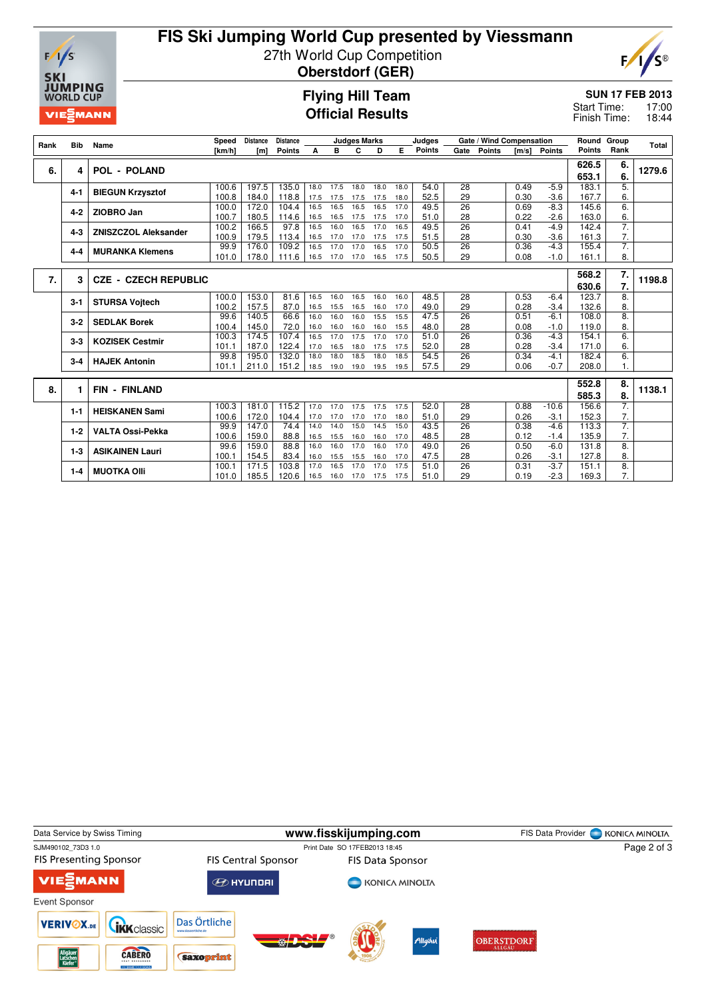

# **FIS Ski Jumping World Cup presented by Viessmann** 27th World Cup Competition



**Oberstdorf (GER)**

### **Flying Hill Team Official Results**

#### **SUN 17 FEB 2013**

17:00 18:44 Start Time: Finish Time:

| Rank | Bib     | Name                        | Speed          | <b>Distance</b> | Distance      |              |              | <b>Judges Marks</b> |              |              | Judges        |                       | Gate / Wind Compensation |              | Round Group      |                | Total                  |        |
|------|---------|-----------------------------|----------------|-----------------|---------------|--------------|--------------|---------------------|--------------|--------------|---------------|-----------------------|--------------------------|--------------|------------------|----------------|------------------------|--------|
|      |         |                             | [km/h]         | [m]             | <b>Points</b> | A            | в            | c                   | D            | Е            | <b>Points</b> | Gate                  | <b>Points</b>            | [m/s]        | <b>Points</b>    | <b>Points</b>  | Rank                   |        |
|      |         |                             |                |                 |               |              |              |                     |              |              |               |                       |                          |              |                  | 626.5          | 6.                     |        |
| 6.   | 4       | <b>POL - POLAND</b>         |                |                 |               |              |              |                     |              |              |               |                       |                          |              |                  | 653.1          | 6.                     | 1279.6 |
|      |         |                             | 100.6          | 197.5           | 135.0         | 18.0         | 17.5         | 18.0                | 18.0         | 18.0         | 54.0          | 28                    |                          | 0.49         | $-5.9$           | 183.1          | 5.                     |        |
|      | $4 - 1$ | <b>BIEGUN Krzysztof</b>     | 100.8          | 184.0           | 118.8         | 17.5         | 17.5         | 17.5                | 17.5         | 18.0         | 52.5          | 29                    |                          | 0.30         | $-3.6$           | 167.7          | 6.                     |        |
|      |         |                             | 100.0          | 172.0           | 104.4         | 16.5         | 16.5         | 16.5                | 16.5         | 17.0         | 49.5          | $\overline{26}$       |                          | 0.69         | $-8.3$           | 145.6          | $\overline{6}$         |        |
|      | $4-2$   | ZIOBRO Jan                  | 100.7          | 180.5           | 114.6         | 16.5         | 16.5         | 17.5                | 17.5         | 17.0         | 51.0          | 28                    |                          | 0.22         | $-2.6$           | 163.0          | 6.                     |        |
|      | $4 - 3$ | <b>ZNISZCZOL Aleksander</b> | 100.2          | 166.5           | 97.8          | 16.5         | 16.0         | 16.5                | 17.0         | 16.5         | 49.5          | 26                    |                          | 0.41         | $-4.9$           | 142.4          | 7.                     |        |
|      |         |                             | 100.9          | 179.5           | 113.4         | 16.5         | 17.0         | 17.0                | 17.5         | 17.5         | 51.5          | 28                    |                          | 0.30         | $-3.6$           | 161.3          | 7.                     |        |
|      | $4 - 4$ | <b>MURANKA Klemens</b>      | 99.9           | 176.0           | 109.2         | 16.5         | 17.0         | 17.0                | 16.5         | 17.0         | 50.5          | 26                    |                          | 0.36         | $-4.3$           | 155.4          | 7.                     |        |
|      |         |                             | 101.0          | 178.0           | 111.6         | 16.5         | 17.0         | 17.0                | 16.5         | 17.5         | 50.5          | 29                    |                          | 0.08         | $-1.0$           | 161.1          | 8.                     |        |
|      |         |                             |                |                 |               |              |              |                     |              |              |               |                       |                          |              |                  |                |                        |        |
| 7.   | 3       | <b>CZE - CZECH REPUBLIC</b> |                |                 |               |              |              |                     |              |              |               |                       |                          |              |                  | 568.2          | 7.                     | 1198.8 |
|      |         |                             |                |                 |               |              |              |                     |              |              |               |                       |                          |              |                  | 630.6          | 7.                     |        |
|      | $3 - 1$ | <b>STURSA Voitech</b>       | 100.0          | 153.0           | 81.6          | 16.5         | 16.0         | 16.5                | 16.0         | 16.0         | 48.5          | 28                    |                          | 0.53         | $-6.4$           | 123.7          | 8.                     |        |
|      |         |                             | 100.2          | 157.5           | 87.0          | 16.5         | 15.5         | 16.5                | 16.0         | 17.0         | 49.0          | 29                    |                          | 0.28         | $-3.4$           | 132.6          | 8.                     |        |
|      | $3-2$   | <b>SEDLAK Borek</b>         | 99.6           | 140.5           | 66.6          | 16.0         | 16.0         | 16.0                | 15.5         | 15.5         | 47.5          | 26                    |                          | 0.51         | $-6.1$           | 108.0          | $\overline{8}$ .<br>8. |        |
|      |         |                             | 100.4<br>100.3 | 145.0<br>174.5  | 72.0<br>107.4 | 16.0<br>16.5 | 16.0<br>17.0 | 16.0<br>17.5        | 16.0<br>17.0 | 15.5<br>17.0 | 48.0<br>51.0  | 28<br>$\overline{26}$ |                          | 0.08<br>0.36 | $-1.0$<br>$-4.3$ | 119.0<br>154.1 | 6.                     |        |
|      | $3-3$   | <b>KOZISEK Cestmir</b>      |                | 187.0           | 122.4         | 17.0         | 16.5         | 18.0                | 17.5         | 17.5         | 52.0          | 28                    |                          | 0.28         |                  | 171.0          | 6.                     |        |
|      |         |                             | 101.1<br>99.8  | 195.0           | 132.0         | 18.0         | 18.0         | 18.5                | 18.0         | 18.5         | 54.5          | 26                    |                          | 0.34         | $-3.4$<br>$-4.1$ | 182.4          | $\overline{6}$ .       |        |
|      | $3 - 4$ | <b>HAJEK Antonin</b>        | 101.1          | 211.0           | 151.2         | 18.5         | 19.0         | 19.0                | 19.5         | 19.5         | 57.5          | 29                    |                          | 0.06         | $-0.7$           | 208.0          | 1.                     |        |
|      |         |                             |                |                 |               |              |              |                     |              |              |               |                       |                          |              |                  |                |                        |        |
|      |         |                             |                |                 |               |              |              |                     |              |              |               |                       |                          |              |                  | 552.8          | 8.                     |        |
| 8.   | 1       | <b>FIN - FINLAND</b>        |                |                 |               |              |              |                     |              |              |               |                       |                          |              |                  | 585.3          | 8.                     | 1138.1 |
|      | $1 - 1$ | <b>HEISKANEN Sami</b>       | 100.3          | 181.0           | 115.2         | 17.0         | 17.0         | 17.5                | 17.5         | 17.5         | 52.0          | 28                    |                          | 0.88         | $-10.6$          | 156.6          | 7.                     |        |
|      |         |                             | 100.6          | 172.0           | 104.4         | 17.0         | 17.0         | 17.0                | 17.0         | 18.0         | 51.0          | 29                    |                          | 0.26         | $-3.1$           | 152.3          | 7.                     |        |
|      | $1-2$   | <b>VALTA Ossi-Pekka</b>     | 99.9           | 147.0           | 74.4          | 14.0         | 14.0         | 15.0                | 14.5         | 15.0         | 43.5          | $\overline{26}$       |                          | 0.38         | $-4.6$           | 113.3          | 7.                     |        |
|      |         |                             | 100.6          | 159.0           | 88.8          | 16.5         | 15.5         | 16.0                | 16.0         | 17.0         | 48.5          | 28                    |                          | 0.12         | $-1.4$           | 135.9          | 7.                     |        |
|      | $1 - 3$ | <b>ASIKAINEN Lauri</b>      | 99.6           | 159.0           | 88.8          | 16.0         | 16.0         | 17.0                | 16.0         | 17.0         | 49.0          | 26                    |                          | 0.50         | $-6.0$           | 131.8          | $\overline{8}$ .       |        |
|      |         |                             | 100.1          | 154.5           | 83.4          | 16.0         | 15.5         | 15.5                | 16.0         | 17.0         | 47.5          | 28                    |                          | 0.26         | $-3.1$           | 127.8          | 8.                     |        |
|      | $1 - 4$ | <b>MUOTKA OIII</b>          | 100.1          | 171.5           | 103.8         | 17.0         | 16.5         | 17.0                | 17.0         | 17.5         | 51.0          | 26                    |                          | 0.31         | $-3.7$           | 151.1          | 8.                     |        |
|      |         |                             | 101.0          | 185.5           | 120.6         | 16.5         | 16.0         | 17.0                | 17.5         | 17.5         | 51.0          | 29                    |                          | 0.19         | $-2.3$           | 169.3          | 7.                     |        |